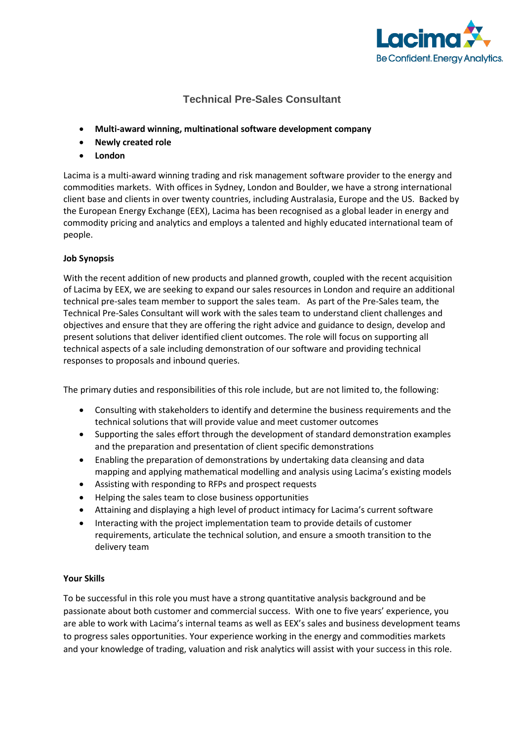

## **Technical Pre-Sales Consultant**

- **Multi-award winning, multinational software development company**
- **Newly created role**
- **London**

Lacima is a multi-award winning trading and risk management software provider to the energy and commodities markets. With offices in Sydney, London and Boulder, we have a strong international client base and clients in over twenty countries, including Australasia, Europe and the US. Backed by the European Energy Exchange (EEX), Lacima has been recognised as a global leader in energy and commodity pricing and analytics and employs a talented and highly educated international team of people.

## **Job Synopsis**

With the recent addition of new products and planned growth, coupled with the recent acquisition of Lacima by EEX, we are seeking to expand our sales resources in London and require an additional technical pre-sales team member to support the sales team. As part of the Pre-Sales team, the Technical Pre-Sales Consultant will work with the sales team to understand client challenges and objectives and ensure that they are offering the right advice and guidance to design, develop and present solutions that deliver identified client outcomes. The role will focus on supporting all technical aspects of a sale including demonstration of our software and providing technical responses to proposals and inbound queries.

The primary duties and responsibilities of this role include, but are not limited to, the following:

- Consulting with stakeholders to identify and determine the business requirements and the technical solutions that will provide value and meet customer outcomes
- Supporting the sales effort through the development of standard demonstration examples and the preparation and presentation of client specific demonstrations
- Enabling the preparation of demonstrations by undertaking data cleansing and data mapping and applying mathematical modelling and analysis using Lacima's existing models
- Assisting with responding to RFPs and prospect requests
- Helping the sales team to close business opportunities
- Attaining and displaying a high level of product intimacy for Lacima's current software
- Interacting with the project implementation team to provide details of customer requirements, articulate the technical solution, and ensure a smooth transition to the delivery team

## **Your Skills**

To be successful in this role you must have a strong quantitative analysis background and be passionate about both customer and commercial success. With one to five years' experience, you are able to work with Lacima's internal teams as well as EEX's sales and business development teams to progress sales opportunities. Your experience working in the energy and commodities markets and your knowledge of trading, valuation and risk analytics will assist with your success in this role.